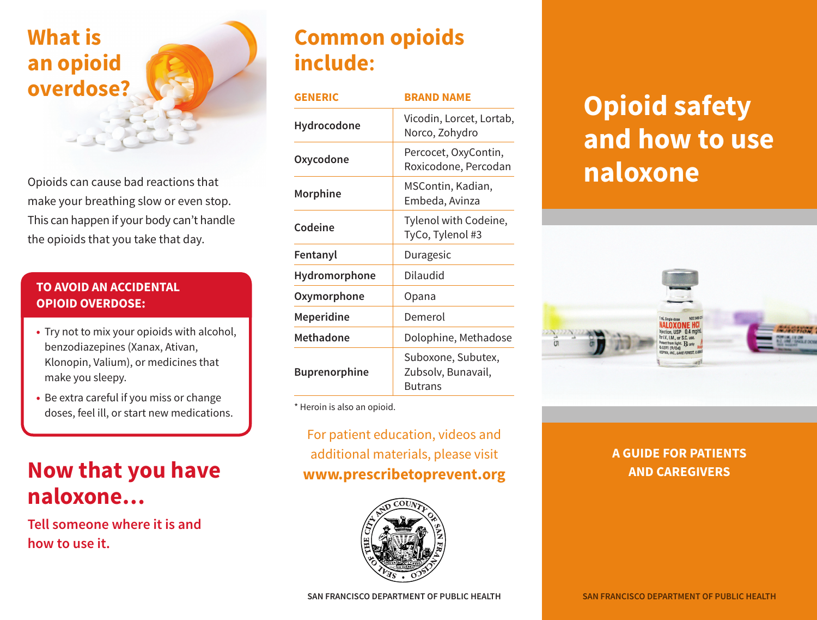# **What is an opioid overdose?**

Opioids can cause bad reactions that make your breathing slow or even stop. This can happen if your body can't handle the opioids that you take that day.

#### **TO AVOID AN ACCIDENTAL OPIOID OVERDOSE:**

- **•** Try not to mix your opioids with alcohol, benzodiazepines (Xanax, Ativan, Klonopin, Valium), or medicines that make you sleepy.
- **•** Be extra careful if you miss or change doses, feel ill, or start new medications.

# **Now that you have naloxone…**

**Tell someone where it is and how to use it.**

# **Common opioids include:**

| <b>GENERIC</b>       | <b>BRAND NAME</b>                                          |
|----------------------|------------------------------------------------------------|
| Hydrocodone          | Vicodin, Lorcet, Lortab,<br>Norco, Zohydro                 |
| Oxycodone            | Percocet, OxyContin,<br>Roxicodone, Percodan               |
| Morphine             | MSContin, Kadian,<br>Embeda, Avinza                        |
| Codeine              | Tylenol with Codeine,<br>TyCo, Tylenol #3                  |
| Fentanyl             | Duragesic                                                  |
| Hydromorphone        | Dilaudid                                                   |
| Oxymorphone          | Opana                                                      |
| <b>Meperidine</b>    | Demerol                                                    |
| <b>Methadone</b>     | Dolophine, Methadose                                       |
| <b>Buprenorphine</b> | Suboxone, Subutex,<br>Zubsolv, Bunavail,<br><b>Butrans</b> |

\* Heroin is also an opioid.

### For patient education, videos and additional materials, please visit **www.prescribetoprevent.org**



# **Opioid safety and how to use naloxone**



### **A GUIDE FOR PATIENTS AND CAREGIVERS**